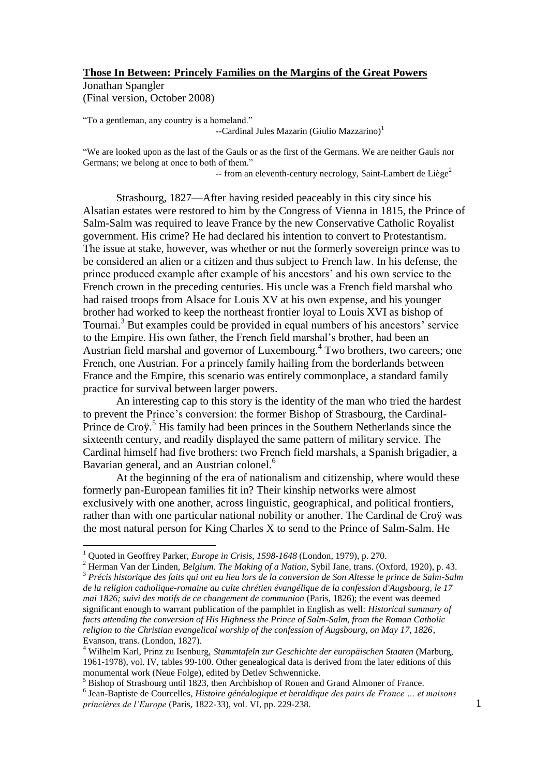### **Those In Between: Princely Families on the Margins of the Great Powers**

Jonathan Spangler (Final version, October 2008)

"To a gentleman, any country is a homeland." --Cardinal Jules Mazarin (Giulio Mazzarino)<sup>1</sup>

"We are looked upon as the last of the Gauls or as the first of the Germans. We are neither Gauls nor Germans; we belong at once to both of them."

 $-$  from an eleventh-century necrology, Saint-Lambert de Liège<sup>2</sup>

Strasbourg, 1827—After having resided peaceably in this city since his Alsatian estates were restored to him by the Congress of Vienna in 1815, the Prince of Salm-Salm was required to leave France by the new Conservative Catholic Royalist government. His crime? He had declared his intention to convert to Protestantism. The issue at stake, however, was whether or not the formerly sovereign prince was to be considered an alien or a citizen and thus subject to French law. In his defense, the prince produced example after example of his ancestors' and his own service to the French crown in the preceding centuries. His uncle was a French field marshal who had raised troops from Alsace for Louis XV at his own expense, and his younger brother had worked to keep the northeast frontier loyal to Louis XVI as bishop of Tournai. <sup>3</sup> But examples could be provided in equal numbers of his ancestors' service to the Empire. His own father, the French field marshal's brother, had been an Austrian field marshal and governor of Luxembourg.<sup>4</sup> Two brothers, two careers; one French, one Austrian. For a princely family hailing from the borderlands between France and the Empire, this scenario was entirely commonplace, a standard family practice for survival between larger powers.

An interesting cap to this story is the identity of the man who tried the hardest to prevent the Prince's conversion: the former Bishop of Strasbourg, the Cardinal-Prince de Croy.<sup>5</sup> His family had been princes in the Southern Netherlands since the sixteenth century, and readily displayed the same pattern of military service. The Cardinal himself had five brothers: two French field marshals, a Spanish brigadier, a Bavarian general, and an Austrian colonel.<sup>6</sup>

At the beginning of the era of nationalism and citizenship, where would these formerly pan-European families fit in? Their kinship networks were almost exclusively with one another, across linguistic, geographical, and political frontiers, rather than with one particular national nobility or another. The Cardinal de Croÿ was the most natural person for King Charles X to send to the Prince of Salm-Salm. He

<sup>&</sup>lt;sup>1</sup> Ouoted in Geoffrey Parker, *Europe in Crisis, 1598-1648* (London, 1979), p. 270.

<sup>2</sup> Herman Van der Linden, *Belgium. The Making of a Nation*, Sybil Jane, trans. (Oxford, 1920), p. 43. <sup>3</sup> *Précis historique des faits qui ont eu lieu lors de la conversion de Son Altesse le prince de Salm-Salm de la religion catholique-romaine au culte chrétien évangélique de la confession d'Augsbourg, le 17 mai 1826; suivi des motifs de ce changement de communion* (Paris, 1826); the event was deemed significant enough to warrant publication of the pamphlet in English as well: *Historical summary of facts attending the conversion of His Highness the Prince of Salm-Salm, from the Roman Catholic religion to the Christian evangelical worship of the confession of Augsbourg, on May 17, 1826*, Evanson, trans. (London, 1827).

<sup>4</sup> Wilhelm Karl, Prinz zu Isenburg, *Stammtafeln zur Geschichte der europäischen Staaten* (Marburg, 1961-1978), vol. IV, tables 99-100. Other genealogical data is derived from the later editions of this monumental work (Neue Folge), edited by Detlev Schwennicke.

<sup>5</sup> Bishop of Strasbourg until 1823, then Archbishop of Rouen and Grand Almoner of France.

<sup>6</sup> Jean-Baptiste de Courcelles, *Histoire généalogique et heraldique des pairs de France … et maisons princières de l'Europe* (Paris, 1822-33), vol. VI, pp. 229-238.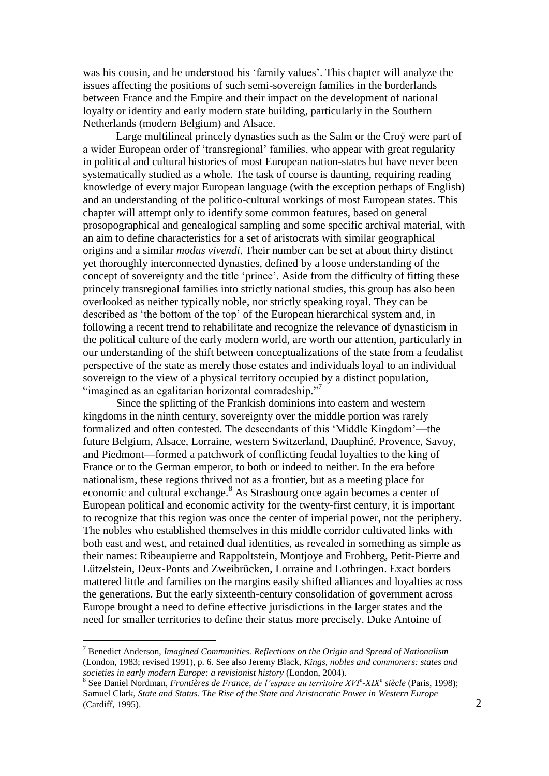was his cousin, and he understood his 'family values'. This chapter will analyze the issues affecting the positions of such semi-sovereign families in the borderlands between France and the Empire and their impact on the development of national loyalty or identity and early modern state building, particularly in the Southern Netherlands (modern Belgium) and Alsace.

Large multilineal princely dynasties such as the Salm or the Croÿ were part of a wider European order of 'transregional' families, who appear with great regularity in political and cultural histories of most European nation-states but have never been systematically studied as a whole. The task of course is daunting, requiring reading knowledge of every major European language (with the exception perhaps of English) and an understanding of the politico-cultural workings of most European states. This chapter will attempt only to identify some common features, based on general prosopographical and genealogical sampling and some specific archival material, with an aim to define characteristics for a set of aristocrats with similar geographical origins and a similar *modus vivendi*. Their number can be set at about thirty distinct yet thoroughly interconnected dynasties, defined by a loose understanding of the concept of sovereignty and the title 'prince'. Aside from the difficulty of fitting these princely transregional families into strictly national studies, this group has also been overlooked as neither typically noble, nor strictly speaking royal. They can be described as 'the bottom of the top' of the European hierarchical system and, in following a recent trend to rehabilitate and recognize the relevance of dynasticism in the political culture of the early modern world, are worth our attention, particularly in our understanding of the shift between conceptualizations of the state from a feudalist perspective of the state as merely those estates and individuals loyal to an individual sovereign to the view of a physical territory occupied by a distinct population, "imagined as an egalitarian horizontal comradeship."<sup>7</sup>

Since the splitting of the Frankish dominions into eastern and western kingdoms in the ninth century, sovereignty over the middle portion was rarely formalized and often contested. The descendants of this 'Middle Kingdom'—the future Belgium, Alsace, Lorraine, western Switzerland, Dauphiné, Provence, Savoy, and Piedmont—formed a patchwork of conflicting feudal loyalties to the king of France or to the German emperor, to both or indeed to neither. In the era before nationalism, these regions thrived not as a frontier, but as a meeting place for economic and cultural exchange.<sup>8</sup> As Strasbourg once again becomes a center of European political and economic activity for the twenty-first century, it is important to recognize that this region was once the center of imperial power, not the periphery. The nobles who established themselves in this middle corridor cultivated links with both east and west, and retained dual identities, as revealed in something as simple as their names: Ribeaupierre and Rappoltstein, Montjoye and Frohberg, Petit-Pierre and Lützelstein, Deux-Ponts and Zweibrücken, Lorraine and Lothringen. Exact borders mattered little and families on the margins easily shifted alliances and loyalties across the generations. But the early sixteenth-century consolidation of government across Europe brought a need to define effective jurisdictions in the larger states and the need for smaller territories to define their status more precisely. Duke Antoine of

<sup>7</sup> Benedict Anderson, *Imagined Communities. Reflections on the Origin and Spread of Nationalism* (London, 1983; revised 1991), p. 6. See also Jeremy Black, *Kings, nobles and commoners: states and societies in early modern Europe: a revisionist history* (London, 2004).

<sup>8</sup> See Daniel Nordman, *Frontières de France, de l'espace au territoire XVI<sup>e</sup> -XIX<sup>e</sup> siècle* (Paris, 1998); Samuel Clark, *State and Status. The Rise of the State and Aristocratic Power in Western Europe* (Cardiff, 1995).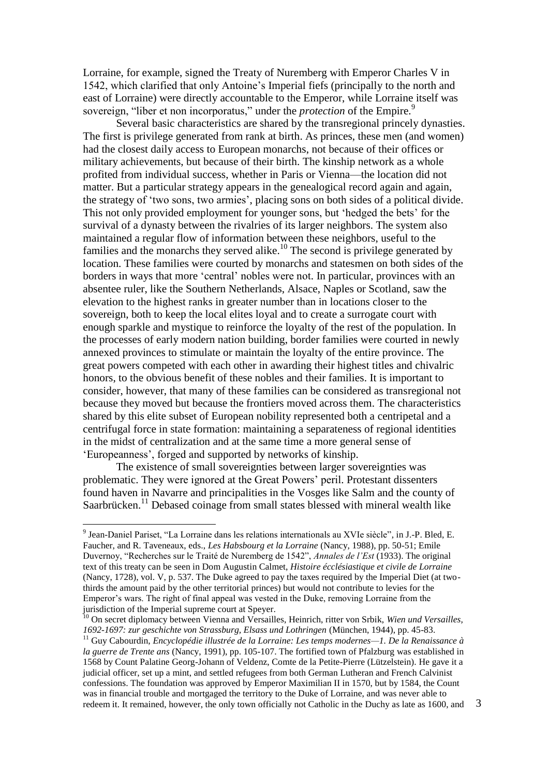Lorraine, for example, signed the Treaty of Nuremberg with Emperor Charles V in 1542, which clarified that only Antoine's Imperial fiefs (principally to the north and east of Lorraine) were directly accountable to the Emperor, while Lorraine itself was sovereign, "liber et non incorporatus," under the *protection* of the Empire.<sup>9</sup>

Several basic characteristics are shared by the transregional princely dynasties. The first is privilege generated from rank at birth. As princes, these men (and women) had the closest daily access to European monarchs, not because of their offices or military achievements, but because of their birth. The kinship network as a whole profited from individual success, whether in Paris or Vienna—the location did not matter. But a particular strategy appears in the genealogical record again and again, the strategy of 'two sons, two armies', placing sons on both sides of a political divide. This not only provided employment for younger sons, but 'hedged the bets' for the survival of a dynasty between the rivalries of its larger neighbors. The system also maintained a regular flow of information between these neighbors, useful to the families and the monarchs they served alike.<sup>10</sup> The second is privilege generated by location. These families were courted by monarchs and statesmen on both sides of the borders in ways that more 'central' nobles were not. In particular, provinces with an absentee ruler, like the Southern Netherlands, Alsace, Naples or Scotland, saw the elevation to the highest ranks in greater number than in locations closer to the sovereign, both to keep the local elites loyal and to create a surrogate court with enough sparkle and mystique to reinforce the loyalty of the rest of the population. In the processes of early modern nation building, border families were courted in newly annexed provinces to stimulate or maintain the loyalty of the entire province. The great powers competed with each other in awarding their highest titles and chivalric honors, to the obvious benefit of these nobles and their families. It is important to consider, however, that many of these families can be considered as transregional not because they moved but because the frontiers moved across them. The characteristics shared by this elite subset of European nobility represented both a centripetal and a centrifugal force in state formation: maintaining a separateness of regional identities in the midst of centralization and at the same time a more general sense of 'Europeanness', forged and supported by networks of kinship.

The existence of small sovereignties between larger sovereignties was problematic. They were ignored at the Great Powers' peril. Protestant dissenters found haven in Navarre and principalities in the Vosges like Salm and the county of Saarbrücken.<sup>11</sup> Debased coinage from small states blessed with mineral wealth like

<sup>9</sup> Jean-Daniel Pariset, "La Lorraine dans les relations internationals au XVIe siècle", in J.-P. Bled, E. Faucher, and R. Taveneaux, eds., *Les Habsbourg et la Lorraine* (Nancy, 1988), pp. 50-51; Emile Duvernoy, "Recherches sur le Traité de Nuremberg de 1542", *Annales de l'Est* (1933). The original text of this treaty can be seen in Dom Augustin Calmet, *Histoire écclésiastique et civile de Lorraine* (Nancy, 1728), vol. V, p. 537. The Duke agreed to pay the taxes required by the Imperial Diet (at twothirds the amount paid by the other territorial princes) but would not contribute to levies for the Emperor's wars. The right of final appeal was vested in the Duke, removing Lorraine from the jurisdiction of the Imperial supreme court at Speyer.

<sup>10</sup> On secret diplomacy between Vienna and Versailles, Heinrich, ritter von Srbik, *Wien und Versailles, 1692-1697: zur geschichte von Strassburg, Elsass und Lothringen* (München, 1944), pp. 45-83.

<sup>11</sup> Guy Cabourdin, *Encyclopédie illustrée de la Lorraine: Les temps modernes—1. De la Renaissance à la guerre de Trente ans* (Nancy, 1991), pp. 105-107. The fortified town of Pfalzburg was established in 1568 by Count Palatine Georg-Johann of Veldenz, Comte de la Petite-Pierre (Lützelstein). He gave it a judicial officer, set up a mint, and settled refugees from both German Lutheran and French Calvinist confessions. The foundation was approved by Emperor Maximilian II in 1570, but by 1584, the Count was in financial trouble and mortgaged the territory to the Duke of Lorraine, and was never able to redeem it. It remained, however, the only town officially not Catholic in the Duchy as late as 1600, and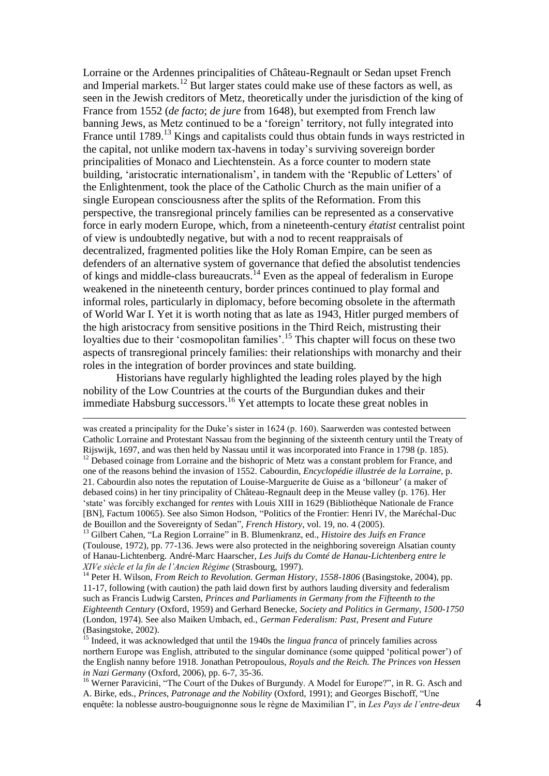Lorraine or the Ardennes principalities of Château-Regnault or Sedan upset French and Imperial markets. <sup>12</sup> But larger states could make use of these factors as well, as seen in the Jewish creditors of Metz, theoretically under the jurisdiction of the king of France from 1552 (*de facto*; *de jure* from 1648), but exempted from French law banning Jews, as Metz continued to be a 'foreign' territory, not fully integrated into France until  $1789$ <sup>13</sup> Kings and capitalists could thus obtain funds in ways restricted in the capital, not unlike modern tax-havens in today's surviving sovereign border principalities of Monaco and Liechtenstein. As a force counter to modern state building, 'aristocratic internationalism', in tandem with the 'Republic of Letters' of the Enlightenment, took the place of the Catholic Church as the main unifier of a single European consciousness after the splits of the Reformation. From this perspective, the transregional princely families can be represented as a conservative force in early modern Europe, which, from a nineteenth-century *étatist* centralist point of view is undoubtedly negative, but with a nod to recent reappraisals of decentralized, fragmented polities like the Holy Roman Empire, can be seen as defenders of an alternative system of governance that defied the absolutist tendencies of kings and middle-class bureaucrats.<sup>14</sup> Even as the appeal of federalism in Europe weakened in the nineteenth century, border princes continued to play formal and informal roles, particularly in diplomacy, before becoming obsolete in the aftermath of World War I. Yet it is worth noting that as late as 1943, Hitler purged members of the high aristocracy from sensitive positions in the Third Reich, mistrusting their loyalties due to their 'cosmopolitan families'.<sup>15</sup> This chapter will focus on these two aspects of transregional princely families: their relationships with monarchy and their roles in the integration of border provinces and state building.

Historians have regularly highlighted the leading roles played by the high nobility of the Low Countries at the courts of the Burgundian dukes and their immediate Habsburg successors.<sup>16</sup> Yet attempts to locate these great nobles in

<u>.</u>

was created a principality for the Duke's sister in 1624 (p. 160). Saarwerden was contested between Catholic Lorraine and Protestant Nassau from the beginning of the sixteenth century until the Treaty of Rijswijk, 1697, and was then held by Nassau until it was incorporated into France in 1798 (p. 185).

<sup>12</sup> Debased coinage from Lorraine and the bishopric of Metz was a constant problem for France, and one of the reasons behind the invasion of 1552. Cabourdin, *Encyclopédie illustrée de la Lorraine*, p. 21. Cabourdin also notes the reputation of Louise-Marguerite de Guise as a 'billoneur' (a maker of debased coins) in her tiny principality of Château-Regnault deep in the Meuse valley (p. 176). Her 'state' was forcibly exchanged for *rentes* with Louis XIII in 1629 (Bibliothèque Nationale de France [BN], Factum 10065). See also Simon Hodson, "Politics of the Frontier: Henri IV, the Maréchal-Duc de Bouillon and the Sovereignty of Sedan", *French History*, vol. 19, no. 4 (2005).

<sup>13</sup> Gilbert Cahen, "La Region Lorraine" in B. Blumenkranz, ed., *Histoire des Juifs en France* (Toulouse, 1972), pp. 77-136. Jews were also protected in the neighboring sovereign Alsatian county of Hanau-Lichtenberg. André-Marc Haarscher, *Les Juifs du Comté de Hanau-Lichtenberg entre le XIVe siècle et la fin de l'Ancien Régime* (Strasbourg, 1997).

<sup>14</sup> Peter H. Wilson, *From Reich to Revolution. German History, 1558-1806* (Basingstoke, 2004), pp. 11-17, following (with caution) the path laid down first by authors lauding diversity and federalism such as Francis Ludwig Carsten, *Princes and Parliaments in Germany from the Fifteenth to the Eighteenth Century* (Oxford, 1959) and Gerhard Benecke, *Society and Politics in Germany, 1500-1750* (London, 1974). See also Maiken Umbach, ed., *German Federalism: Past, Present and Future* (Basingstoke, 2002).

<sup>15</sup> Indeed, it was acknowledged that until the 1940s the *lingua franca* of princely families across northern Europe was English, attributed to the singular dominance (some quipped 'political power') of the English nanny before 1918. Jonathan Petropoulous, *Royals and the Reich. The Princes von Hessen in Nazi Germany* (Oxford, 2006), pp. 6-7, 35-36.

<sup>&</sup>lt;sup>16</sup> Werner Paravicini, "The Court of the Dukes of Burgundy. A Model for Europe?", in R. G. Asch and A. Birke, eds., *Princes, Patronage and the Nobility* (Oxford, 1991); and Georges Bischoff, "Une enquête: la noblesse austro-bouguignonne sous le règne de Maximilian I", in *Les Pays de l'entre-deux*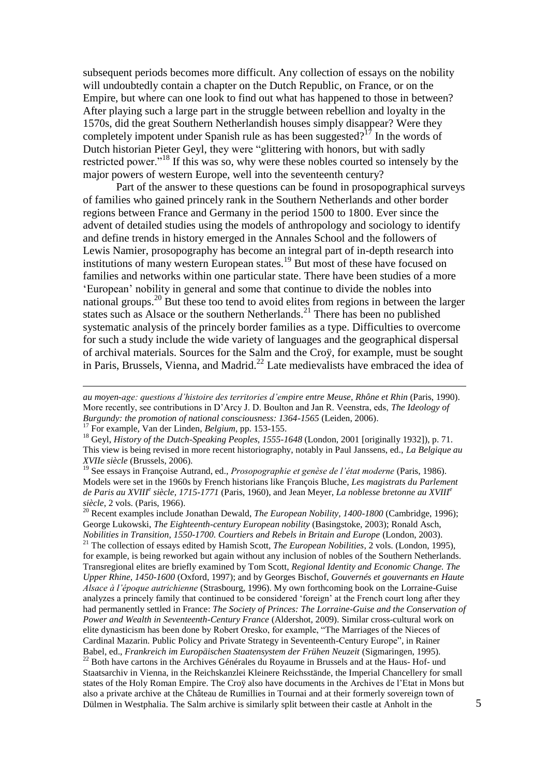subsequent periods becomes more difficult. Any collection of essays on the nobility will undoubtedly contain a chapter on the Dutch Republic, on France, or on the Empire, but where can one look to find out what has happened to those in between? After playing such a large part in the struggle between rebellion and loyalty in the 1570s, did the great Southern Netherlandish houses simply disappear? Were they completely impotent under Spanish rule as has been suggested?<sup>17</sup> In the words of Dutch historian Pieter Geyl, they were "glittering with honors, but with sadly restricted power."<sup>18</sup> If this was so, why were these nobles courted so intensely by the major powers of western Europe, well into the seventeenth century?

Part of the answer to these questions can be found in prosopographical surveys of families who gained princely rank in the Southern Netherlands and other border regions between France and Germany in the period 1500 to 1800. Ever since the advent of detailed studies using the models of anthropology and sociology to identify and define trends in history emerged in the Annales School and the followers of Lewis Namier, prosopography has become an integral part of in-depth research into institutions of many western European states.<sup>19</sup> But most of these have focused on families and networks within one particular state. There have been studies of a more 'European' nobility in general and some that continue to divide the nobles into national groups.<sup>20</sup> But these too tend to avoid elites from regions in between the larger states such as Alsace or the southern Netherlands.<sup>21</sup> There has been no published systematic analysis of the princely border families as a type. Difficulties to overcome for such a study include the wide variety of languages and the geographical dispersal of archival materials. Sources for the Salm and the Croÿ, for example, must be sought in Paris, Brussels, Vienna, and Madrid.<sup>22</sup> Late medievalists have embraced the idea of

<u>.</u>

<sup>21</sup> The collection of essays edited by Hamish Scott, *The European Nobilities*, 2 vols. (London, 1995), for example, is being reworked but again without any inclusion of nobles of the Southern Netherlands. Transregional elites are briefly examined by Tom Scott, *Regional Identity and Economic Change. The Upper Rhine, 1450-1600* (Oxford, 1997); and by Georges Bischof, *Gouvernés et gouvernants en Haute Alsace à l'époque autrichienne* (Strasbourg, 1996). My own forthcoming book on the Lorraine-Guise analyzes a princely family that continued to be considered 'foreign' at the French court long after they had permanently settled in France: *The Society of Princes: The Lorraine-Guise and the Conservation of Power and Wealth in Seventeenth-Century France* (Aldershot, 2009). Similar cross-cultural work on elite dynasticism has been done by Robert Oresko, for example, "The Marriages of the Nieces of Cardinal Mazarin. Public Policy and Private Strategy in Seventeenth-Century Europe", in Rainer Babel, ed., *Frankreich im Europäischen Staatensystem der Frühen Neuzeit* (Sigmaringen, 1995).

<sup>22</sup> Both have cartons in the Archives Générales du Royaume in Brussels and at the Haus- Hof- und Staatsarchiv in Vienna, in the Reichskanzlei Kleinere Reichsstände, the Imperial Chancellery for small states of the Holy Roman Empire. The Croÿ also have documents in the Archives de l'Etat in Mons but also a private archive at the Château de Rumillies in Tournai and at their formerly sovereign town of Dülmen in Westphalia. The Salm archive is similarly split between their castle at Anholt in the

*au moyen-age: questions d'histoire des territories d'empire entre Meuse, Rhône et Rhin* (Paris, 1990). More recently, see contributions in D'Arcy J. D. Boulton and Jan R. Veenstra, eds, *The Ideology of Burgundy: the promotion of national consciousness: 1364-1565* (Leiden, 2006).

<sup>17</sup> For example, Van der Linden, *Belgium*, pp. 153-155.

<sup>18</sup> Geyl, *History of the Dutch-Speaking Peoples, 1555-1648* (London, 2001 [originally 1932]), p. 71. This view is being revised in more recent historiography, notably in Paul Janssens, ed., *La Belgique au XVIIe siècle* (Brussels, 2006).

<sup>19</sup> See essays in Françoise Autrand, ed., *Prosopographie et genèse de l'état moderne* (Paris, 1986). Models were set in the 1960s by French historians like François Bluche, *Les magistrats du Parlement de Paris au XVIII<sup>e</sup> siècle, 1715-1771* (Paris, 1960), and Jean Meyer, *La noblesse bretonne au XVIII<sup>e</sup> siècle*, 2 vols. (Paris, 1966).

<sup>20</sup> Recent examples include Jonathan Dewald, *The European Nobility, 1400-1800* (Cambridge, 1996); George Lukowski, *The Eighteenth-century European nobility* (Basingstoke, 2003); Ronald Asch, *Nobilities in Transition, 1550-1700. Courtiers and Rebels in Britain and Europe* (London, 2003).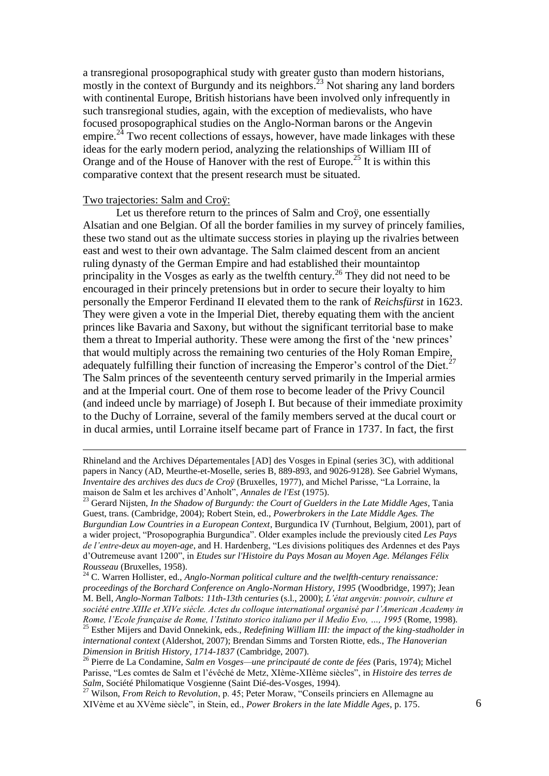a transregional prosopographical study with greater gusto than modern historians, mostly in the context of Burgundy and its neighbors. <sup>23</sup> Not sharing any land borders with continental Europe. British historians have been involved only infrequently in such transregional studies, again, with the exception of medievalists, who have focused prosopographical studies on the Anglo-Norman barons or the Angevin empire.<sup>24</sup> Two recent collections of essays, however, have made linkages with these ideas for the early modern period, analyzing the relationships of William III of Orange and of the House of Hanover with the rest of Europe.<sup>25</sup> It is within this comparative context that the present research must be situated.

# Two trajectories: Salm and Croÿ:

<u>.</u>

Let us therefore return to the princes of Salm and Croÿ, one essentially Alsatian and one Belgian. Of all the border families in my survey of princely families, these two stand out as the ultimate success stories in playing up the rivalries between east and west to their own advantage. The Salm claimed descent from an ancient ruling dynasty of the German Empire and had established their mountaintop principality in the Vosges as early as the twelfth century.<sup>26</sup> They did not need to be encouraged in their princely pretensions but in order to secure their loyalty to him personally the Emperor Ferdinand II elevated them to the rank of *Reichsfürst* in 1623. They were given a vote in the Imperial Diet, thereby equating them with the ancient princes like Bavaria and Saxony, but without the significant territorial base to make them a threat to Imperial authority. These were among the first of the 'new princes' that would multiply across the remaining two centuries of the Holy Roman Empire, adequately fulfilling their function of increasing the Emperor's control of the Diet.<sup>27</sup> The Salm princes of the seventeenth century served primarily in the Imperial armies and at the Imperial court. One of them rose to become leader of the Privy Council (and indeed uncle by marriage) of Joseph I. But because of their immediate proximity to the Duchy of Lorraine, several of the family members served at the ducal court or in ducal armies, until Lorraine itself became part of France in 1737. In fact, the first

Rhineland and the Archives Départementales [AD] des Vosges in Epinal (series 3C), with additional papers in Nancy (AD, Meurthe-et-Moselle, series B, 889-893, and 9026-9128). See Gabriel Wymans, *Inventaire des archives des ducs de Croÿ* (Bruxelles, 1977), and Michel Parisse, "La Lorraine, la maison de Salm et les archives d'Anholt", *Annales de l'Est* (1975).

<sup>23</sup> Gerard Nijsten, *In the Shadow of Burgundy: the Court of Guelders in the Late Middle Ages*, Tania Guest, trans. (Cambridge, 2004); Robert Stein, ed., *Powerbrokers in the Late Middle Ages. The Burgundian Low Countries in a European Context*, Burgundica IV (Turnhout, Belgium, 2001), part of a wider project, "Prosopographia Burgundica". Older examples include the previously cited *Les Pays de l'entre-deux au moyen-age*, and H. Hardenberg, "Les divisions politiques des Ardennes et des Pays d'Outremeuse avant 1200", in *Etudes sur l'Histoire du Pays Mosan au Moyen Age. Mélanges Félix Rousseau* (Bruxelles, 1958).

<sup>24</sup> C. Warren Hollister, ed., *Anglo-Norman political culture and the twelfth-century renaissance: proceedings of the Borchard Conference on Anglo-Norman History, 1995* (Woodbridge, 1997); Jean M. Bell, *Anglo-Norman Talbots: 11th-13th centuries* (s.l., 2000); *L'état angevin: pouvoir, culture et société entre XIIIe et XIVe siècle. Actes du colloque international organisé par l'American Academy in Rome, l'Ecole française de Rome, l'Istituto storico italiano per il Medio Evo, …, 1995* (Rome, 1998). <sup>25</sup> Esther Mijers and David Onnekink, eds., *Redefining William III: the impact of the king-stadholder in* 

*international context* (Aldershot, 2007); Brendan Simms and Torsten Riotte, eds., *The Hanoverian Dimension in British History, 1714-1837* (Cambridge, 2007).

<sup>26</sup> Pierre de La Condamine, *Salm en Vosges—une principauté de conte de fées* (Paris, 1974); Michel Parisse, "Les comtes de Salm et l'évêché de Metz, XIème-XIIème siècles", in *Histoire des terres de Salm*, Société Philomatique Vosgienne (Saint Dié-des-Vosges, 1994).

<sup>27</sup> Wilson, *From Reich to Revolution*, p. 45; Peter Moraw, "Conseils princiers en Allemagne au XIVème et au XVème siècle", in Stein, ed., *Power Brokers in the late Middle Ages*, p. 175.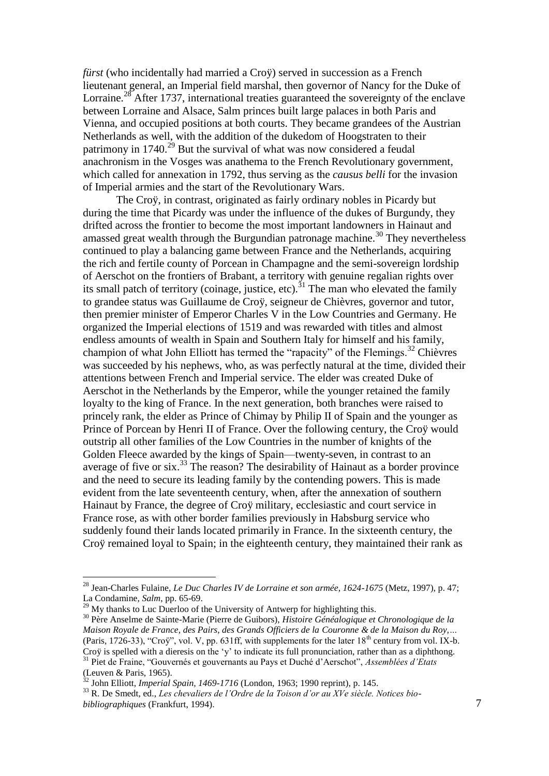*fürst* (who incidentally had married a Croÿ) served in succession as a French lieutenant general, an Imperial field marshal, then governor of Nancy for the Duke of Lorraine.<sup>28</sup> After 1737, international treaties guaranteed the sovereignty of the enclave between Lorraine and Alsace, Salm princes built large palaces in both Paris and Vienna, and occupied positions at both courts. They became grandees of the Austrian Netherlands as well, with the addition of the dukedom of Hoogstraten to their patrimony in  $1740$ <sup>29</sup> But the survival of what was now considered a feudal anachronism in the Vosges was anathema to the French Revolutionary government, which called for annexation in 1792, thus serving as the *causus belli* for the invasion of Imperial armies and the start of the Revolutionary Wars.

The Croÿ, in contrast, originated as fairly ordinary nobles in Picardy but during the time that Picardy was under the influence of the dukes of Burgundy, they drifted across the frontier to become the most important landowners in Hainaut and amassed great wealth through the Burgundian patronage machine.<sup>30</sup> They nevertheless continued to play a balancing game between France and the Netherlands, acquiring the rich and fertile county of Porcean in Champagne and the semi-sovereign lordship of Aerschot on the frontiers of Brabant, a territory with genuine regalian rights over its small patch of territory (coinage, justice, etc).<sup>31</sup> The man who elevated the family to grandee status was Guillaume de Croÿ, seigneur de Chièvres, governor and tutor, then premier minister of Emperor Charles V in the Low Countries and Germany. He organized the Imperial elections of 1519 and was rewarded with titles and almost endless amounts of wealth in Spain and Southern Italy for himself and his family, champion of what John Elliott has termed the "rapacity" of the Flemings.<sup>32</sup> Chièvres was succeeded by his nephews, who, as was perfectly natural at the time, divided their attentions between French and Imperial service. The elder was created Duke of Aerschot in the Netherlands by the Emperor, while the younger retained the family loyalty to the king of France. In the next generation, both branches were raised to princely rank, the elder as Prince of Chimay by Philip II of Spain and the younger as Prince of Porcean by Henri II of France. Over the following century, the Croÿ would outstrip all other families of the Low Countries in the number of knights of the Golden Fleece awarded by the kings of Spain—twenty-seven, in contrast to an average of five or six.<sup>33</sup> The reason? The desirability of Hainaut as a border province and the need to secure its leading family by the contending powers. This is made evident from the late seventeenth century, when, after the annexation of southern Hainaut by France, the degree of Croÿ military, ecclesiastic and court service in France rose, as with other border families previously in Habsburg service who suddenly found their lands located primarily in France. In the sixteenth century, the Croÿ remained loyal to Spain; in the eighteenth century, they maintained their rank as

<sup>28</sup> Jean-Charles Fulaine, *Le Duc Charles IV de Lorraine et son armée, 1624-1675* (Metz, 1997), p. 47; La Condamine, *Salm*, pp. 65-69.

 $^{29}$  My thanks to Luc Duerloo of the University of Antwerp for highlighting this.

<sup>30</sup> Père Anselme de Sainte-Marie (Pierre de Guibors), *Histoire Généalogique et Chronologique de la Maison Royale de France, des Pairs, des Grands Officiers de la Couronne & de la Maison du Roy,…* (Paris, 1726-33), "Croÿ", vol. V, pp. 631ff, with supplements for the later  $18<sup>th</sup>$  century from vol. IX-b. Croÿ is spelled with a dieresis on the 'y' to indicate its full pronunciation, rather than as a diphthong. <sup>31</sup> Piet de Fraine, "Gouvernés et gouvernants au Pays et Duché d'Aerschot", *Assemblées d'Etats* (Leuven & Paris, 1965).

<sup>32</sup> John Elliott, *Imperial Spain, 1469-1716* (London, 1963; 1990 reprint), p. 145.

<sup>33</sup> R. De Smedt, ed., *Les chevaliers de l'Ordre de la Toison d'or au XVe siècle. Notices biobibliographiques* (Frankfurt, 1994).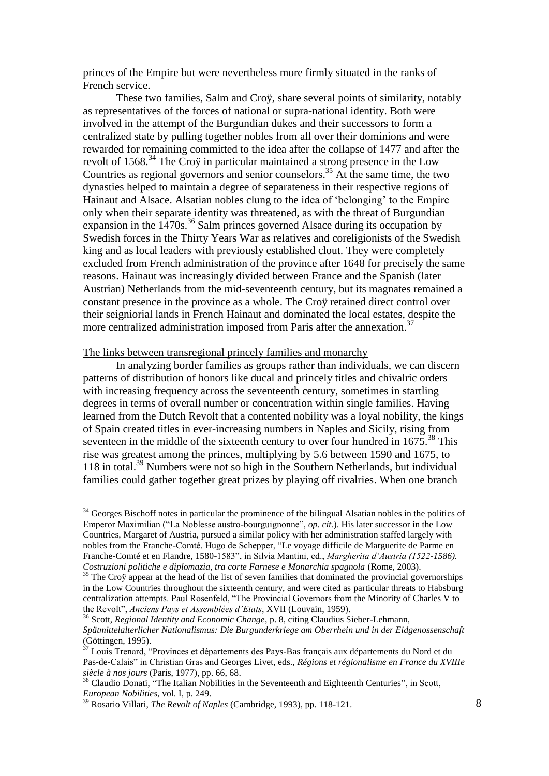princes of the Empire but were nevertheless more firmly situated in the ranks of French service.

These two families, Salm and Croÿ, share several points of similarity, notably as representatives of the forces of national or supra-national identity. Both were involved in the attempt of the Burgundian dukes and their successors to form a centralized state by pulling together nobles from all over their dominions and were rewarded for remaining committed to the idea after the collapse of 1477 and after the revolt of 1568.<sup>34</sup> The Croÿ in particular maintained a strong presence in the Low Countries as regional governors and senior counselors.<sup>35</sup> At the same time, the two dynasties helped to maintain a degree of separateness in their respective regions of Hainaut and Alsace. Alsatian nobles clung to the idea of 'belonging' to the Empire only when their separate identity was threatened, as with the threat of Burgundian expansion in the 1470s.<sup>36</sup> Salm princes governed Alsace during its occupation by Swedish forces in the Thirty Years War as relatives and coreligionists of the Swedish king and as local leaders with previously established clout. They were completely excluded from French administration of the province after 1648 for precisely the same reasons. Hainaut was increasingly divided between France and the Spanish (later Austrian) Netherlands from the mid-seventeenth century, but its magnates remained a constant presence in the province as a whole. The Croÿ retained direct control over their seigniorial lands in French Hainaut and dominated the local estates, despite the more centralized administration imposed from Paris after the annexation.<sup>37</sup>

### The links between transregional princely families and monarchy

1

In analyzing border families as groups rather than individuals, we can discern patterns of distribution of honors like ducal and princely titles and chivalric orders with increasing frequency across the seventeenth century, sometimes in startling degrees in terms of overall number or concentration within single families. Having learned from the Dutch Revolt that a contented nobility was a loyal nobility, the kings of Spain created titles in ever-increasing numbers in Naples and Sicily, rising from seventeen in the middle of the sixteenth century to over four hundred in  $1675$ <sup>38</sup>. This rise was greatest among the princes, multiplying by 5.6 between 1590 and 1675, to 118 in total. <sup>39</sup> Numbers were not so high in the Southern Netherlands, but individual families could gather together great prizes by playing off rivalries. When one branch

<sup>&</sup>lt;sup>34</sup> Georges Bischoff notes in particular the prominence of the bilingual Alsatian nobles in the politics of Emperor Maximilian ("La Noblesse austro-bourguignonne", *op. cit.*). His later successor in the Low Countries, Margaret of Austria, pursued a similar policy with her administration staffed largely with nobles from the Franche-Comté. Hugo de Schepper, "Le voyage difficile de Marguerite de Parme en Franche-Comté et en Flandre, 1580-1583", in Silvia Mantini, ed., *Margherita d'Austria (1522-1586). Costruzioni politiche e diplomazia, tra corte Farnese e Monarchia spagnola* (Rome, 2003).

<sup>&</sup>lt;sup>35</sup> The Croy appear at the head of the list of seven families that dominated the provincial governorships in the Low Countries throughout the sixteenth century, and were cited as particular threats to Habsburg centralization attempts. Paul Rosenfeld, "The Provincial Governors from the Minority of Charles V to the Revolt", *Anciens Pays et Assemblées d'Etats*, XVII (Louvain, 1959).

<sup>36</sup> Scott, *Regional Identity and Economic Change*, p. 8, citing Claudius Sieber-Lehmann, *Spätmittelalterlicher Nationalismus: Die Burgunderkriege am Oberrhein und in der Eidgenossenschaft* (Göttingen, 1995).

 $37$  Louis Trenard, "Provinces et départements des Pays-Bas français aux départements du Nord et du Pas-de-Calais" in Christian Gras and Georges Livet, eds., *Régions et régionalisme en France du XVIIIe siècle à nos jours* (Paris, 1977), pp. 66, 68.

<sup>&</sup>lt;sup>38</sup> Claudio Donati, "The Italian Nobilities in the Seventeenth and Eighteenth Centuries", in Scott, *European Nobilities*, vol. I, p. 249.

<sup>39</sup> Rosario Villari, *The Revolt of Naples* (Cambridge, 1993), pp. 118-121.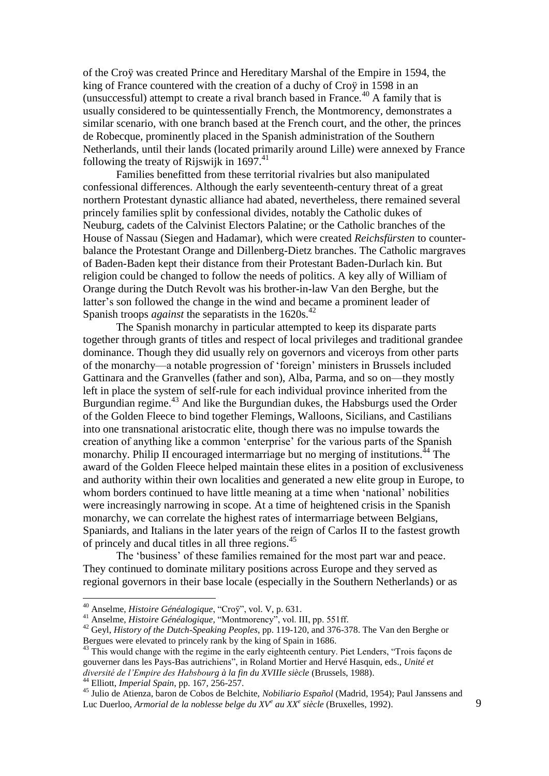of the Croÿ was created Prince and Hereditary Marshal of the Empire in 1594, the king of France countered with the creation of a duchy of Croÿ in 1598 in an (unsuccessful) attempt to create a rival branch based in France.<sup>40</sup> A family that is usually considered to be quintessentially French, the Montmorency, demonstrates a similar scenario, with one branch based at the French court, and the other, the princes de Robecque, prominently placed in the Spanish administration of the Southern Netherlands, until their lands (located primarily around Lille) were annexed by France following the treaty of Rijswijk in  $1697$ .<sup>41</sup>

Families benefitted from these territorial rivalries but also manipulated confessional differences. Although the early seventeenth-century threat of a great northern Protestant dynastic alliance had abated, nevertheless, there remained several princely families split by confessional divides, notably the Catholic dukes of Neuburg, cadets of the Calvinist Electors Palatine; or the Catholic branches of the House of Nassau (Siegen and Hadamar), which were created *Reichsfürsten* to counterbalance the Protestant Orange and Dillenberg-Dietz branches. The Catholic margraves of Baden-Baden kept their distance from their Protestant Baden-Durlach kin. But religion could be changed to follow the needs of politics. A key ally of William of Orange during the Dutch Revolt was his brother-in-law Van den Berghe, but the latter's son followed the change in the wind and became a prominent leader of Spanish troops *against* the separatists in the 1620s.<sup>42</sup>

The Spanish monarchy in particular attempted to keep its disparate parts together through grants of titles and respect of local privileges and traditional grandee dominance. Though they did usually rely on governors and viceroys from other parts of the monarchy—a notable progression of 'foreign' ministers in Brussels included Gattinara and the Granvelles (father and son), Alba, Parma, and so on—they mostly left in place the system of self-rule for each individual province inherited from the Burgundian regime.<sup>43</sup> And like the Burgundian dukes, the Habsburgs used the Order of the Golden Fleece to bind together Flemings, Walloons, Sicilians, and Castilians into one transnational aristocratic elite, though there was no impulse towards the creation of anything like a common 'enterprise' for the various parts of the Spanish monarchy. Philip II encouraged intermarriage but no merging of institutions.<sup>44</sup> The award of the Golden Fleece helped maintain these elites in a position of exclusiveness and authority within their own localities and generated a new elite group in Europe, to whom borders continued to have little meaning at a time when 'national' nobilities were increasingly narrowing in scope. At a time of heightened crisis in the Spanish monarchy, we can correlate the highest rates of intermarriage between Belgians, Spaniards, and Italians in the later years of the reign of Carlos II to the fastest growth of princely and ducal titles in all three regions. 45

The 'business' of these families remained for the most part war and peace. They continued to dominate military positions across Europe and they served as regional governors in their base locale (especially in the Southern Netherlands) or as

<sup>44</sup> Elliott, *Imperial Spain*, pp. 167, 256-257.

<sup>40</sup> Anselme, *Histoire Généalogique*, "Croÿ", vol. V, p. 631.

<sup>41</sup> Anselme, *Histoire Généalogique,* "Montmorency", vol. III, pp. 551ff.

<sup>42</sup> Geyl, *History of the Dutch-Speaking Peoples*, pp. 119-120, and 376-378. The Van den Berghe or Bergues were elevated to princely rank by the king of Spain in 1686.

<sup>&</sup>lt;sup>43</sup> This would change with the regime in the early eighteenth century. Piet Lenders, "Trois façons de gouverner dans les Pays-Bas autrichiens", in Roland Mortier and Hervé Hasquin, eds., *Unité et diversité de l'Empire des Habsbourg à la fin du XVIIIe siècle* (Brussels, 1988).

<sup>45</sup> Julio de Atienza, baron de Cobos de Belchite, *Nobiliario Español* (Madrid, 1954); Paul Janssens and Luc Duerloo, *Armorial de la noblesse belge du XV<sup>e</sup> au XX<sup>e</sup> siècle* (Bruxelles, 1992).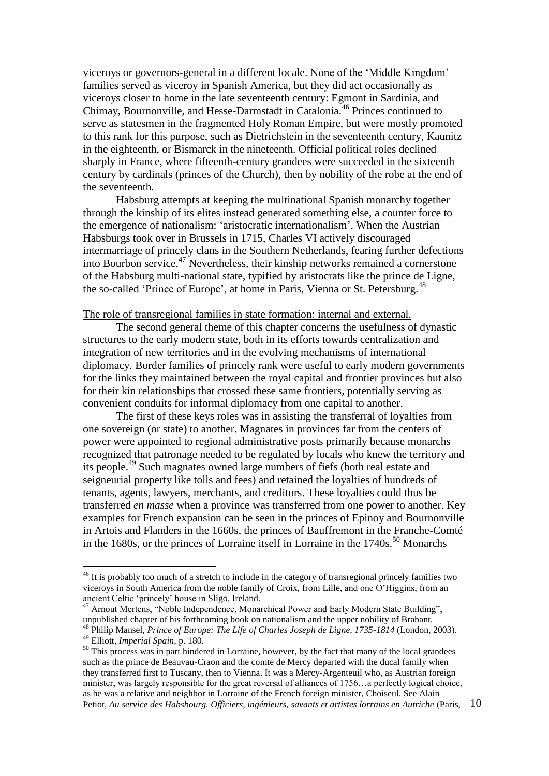viceroys or governors-general in a different locale. None of the 'Middle Kingdom' families served as viceroy in Spanish America, but they did act occasionally as viceroys closer to home in the late seventeenth century: Egmont in Sardinia, and Chimay, Bournonville, and Hesse-Darmstadt in Catalonia. <sup>46</sup> Princes continued to serve as statesmen in the fragmented Holy Roman Empire, but were mostly promoted to this rank for this purpose, such as Dietrichstein in the seventeenth century, Kaunitz in the eighteenth, or Bismarck in the nineteenth. Official political roles declined sharply in France, where fifteenth-century grandees were succeeded in the sixteenth century by cardinals (princes of the Church), then by nobility of the robe at the end of the seventeenth.

Habsburg attempts at keeping the multinational Spanish monarchy together through the kinship of its elites instead generated something else, a counter force to the emergence of nationalism: 'aristocratic internationalism'. When the Austrian Habsburgs took over in Brussels in 1715, Charles VI actively discouraged intermarriage of princely clans in the Southern Netherlands, fearing further defections into Bourbon service. <sup>47</sup> Nevertheless, their kinship networks remained a cornerstone of the Habsburg multi-national state, typified by aristocrats like the prince de Ligne, the so-called 'Prince of Europe', at home in Paris, Vienna or St. Petersburg.<sup>48</sup>

# The role of transregional families in state formation: internal and external.

The second general theme of this chapter concerns the usefulness of dynastic structures to the early modern state, both in its efforts towards centralization and integration of new territories and in the evolving mechanisms of international diplomacy. Border families of princely rank were useful to early modern governments for the links they maintained between the royal capital and frontier provinces but also for their kin relationships that crossed these same frontiers, potentially serving as convenient conduits for informal diplomacy from one capital to another.

The first of these keys roles was in assisting the transferral of loyalties from one sovereign (or state) to another. Magnates in provinces far from the centers of power were appointed to regional administrative posts primarily because monarchs recognized that patronage needed to be regulated by locals who knew the territory and its people.<sup>49</sup> Such magnates owned large numbers of fiefs (both real estate and seigneurial property like tolls and fees) and retained the loyalties of hundreds of tenants, agents, lawyers, merchants, and creditors. These loyalties could thus be transferred *en masse* when a province was transferred from one power to another. Key examples for French expansion can be seen in the princes of Epinoy and Bournonville in Artois and Flanders in the 1660s, the princes of Bauffremont in the Franche-Comté in the  $1680s$ , or the princes of Lorraine itself in Lorraine in the  $1740s$ .<sup>50</sup> Monarchs

<sup>&</sup>lt;sup>46</sup> It is probably too much of a stretch to include in the category of transregional princely families two viceroys in South America from the noble family of Croix, from Lille, and one O'Higgins, from an ancient Celtic 'princely' house in Sligo, Ireland.

<sup>&</sup>lt;sup>47</sup> Arnout Mertens, "Noble Independence, Monarchical Power and Early Modern State Building", unpublished chapter of his forthcoming book on nationalism and the upper nobility of Brabant. <sup>48</sup> Philip Mansel, *Prince of Europe: The Life of Charles Joseph de Ligne, 1735-1814* (London, 2003).

<sup>49</sup> Elliott, *Imperial Spain*, p. 180.

<sup>10</sup> <sup>50</sup> This process was in part hindered in Lorraine, however, by the fact that many of the local grandees such as the prince de Beauvau-Craon and the comte de Mercy departed with the ducal family when they transferred first to Tuscany, then to Vienna. It was a Mercy-Argenteuil who, as Austrian foreign minister, was largely responsible for the great reversal of alliances of 1756…a perfectly logical choice, as he was a relative and neighbor in Lorraine of the French foreign minister, Choiseul. See Alain Petiot, *Au service des Habsbourg. Officiers, ingénieurs, savants et artistes lorrains en Autriche* (Paris,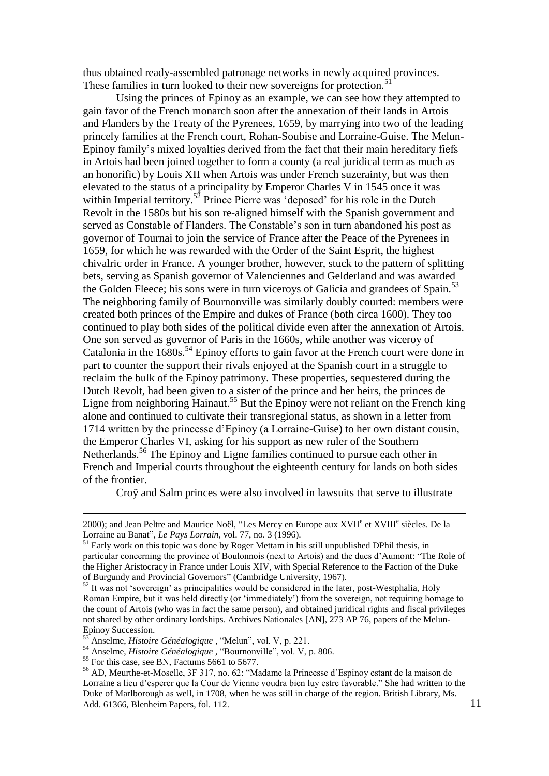thus obtained ready-assembled patronage networks in newly acquired provinces. These families in turn looked to their new sovereigns for protection.<sup>51</sup>

Using the princes of Epinoy as an example, we can see how they attempted to gain favor of the French monarch soon after the annexation of their lands in Artois and Flanders by the Treaty of the Pyrenees, 1659, by marrying into two of the leading princely families at the French court, Rohan-Soubise and Lorraine-Guise. The Melun-Epinoy family's mixed loyalties derived from the fact that their main hereditary fiefs in Artois had been joined together to form a county (a real juridical term as much as an honorific) by Louis XII when Artois was under French suzerainty, but was then elevated to the status of a principality by Emperor Charles V in 1545 once it was within Imperial territory.<sup>52</sup> Prince Pierre was 'deposed' for his role in the Dutch Revolt in the 1580s but his son re-aligned himself with the Spanish government and served as Constable of Flanders. The Constable's son in turn abandoned his post as governor of Tournai to join the service of France after the Peace of the Pyrenees in 1659, for which he was rewarded with the Order of the Saint Esprit, the highest chivalric order in France. A younger brother, however, stuck to the pattern of splitting bets, serving as Spanish governor of Valenciennes and Gelderland and was awarded the Golden Fleece; his sons were in turn viceroys of Galicia and grandees of Spain.<sup>53</sup> The neighboring family of Bournonville was similarly doubly courted: members were created both princes of the Empire and dukes of France (both circa 1600). They too continued to play both sides of the political divide even after the annexation of Artois. One son served as governor of Paris in the 1660s, while another was viceroy of Catalonia in the  $1680s$ .<sup>54</sup> Epinoy efforts to gain favor at the French court were done in part to counter the support their rivals enjoyed at the Spanish court in a struggle to reclaim the bulk of the Epinoy patrimony. These properties, sequestered during the Dutch Revolt, had been given to a sister of the prince and her heirs, the princes de Ligne from neighboring Hainaut.<sup>55</sup> But the Epinoy were not reliant on the French king alone and continued to cultivate their transregional status, as shown in a letter from 1714 written by the princesse d'Epinoy (a Lorraine-Guise) to her own distant cousin, the Emperor Charles VI, asking for his support as new ruler of the Southern Netherlands.<sup>56</sup> The Epinoy and Ligne families continued to pursue each other in French and Imperial courts throughout the eighteenth century for lands on both sides of the frontier.

Croÿ and Salm princes were also involved in lawsuits that serve to illustrate

<sup>2000);</sup> and Jean Peltre and Maurice Noël, "Les Mercy en Europe aux XVII<sup>e</sup> et XVIII<sup>e</sup> siècles. De la Lorraine au Banat", *Le Pays Lorrain*, vol. 77, no. 3 (1996).

 $<sup>51</sup>$  Early work on this topic was done by Roger Mettam in his still unpublished DPhil thesis, in</sup> particular concerning the province of Boulonnois (next to Artois) and the ducs d'Aumont: "The Role of the Higher Aristocracy in France under Louis XIV, with Special Reference to the Faction of the Duke of Burgundy and Provincial Governors" (Cambridge University, 1967).

 $52$  It was not 'sovereign' as principalities would be considered in the later, post-Westphalia, Holy Roman Empire, but it was held directly (or 'immediately') from the sovereign, not requiring homage to the count of Artois (who was in fact the same person), and obtained juridical rights and fiscal privileges not shared by other ordinary lordships. Archives Nationales [AN], 273 AP 76, papers of the Melun-Epinoy Succession.

<sup>53</sup> Anselme, *Histoire Généalogique ,* "Melun", vol. V, p. 221.

<sup>54</sup> Anselme, *Histoire Généalogique ,* "Bournonville", vol. V, p. 806.

<sup>&</sup>lt;sup>55</sup> For this case, see BN, Factums 5661 to 5677.

<sup>56</sup> AD, Meurthe-et-Moselle, 3F 317, no. 62: "Madame la Princesse d'Espinoy estant de la maison de Lorraine a lieu d'esperer que la Cour de Vienne voudra bien luy estre favorable." She had written to the Duke of Marlborough as well, in 1708, when he was still in charge of the region. British Library, Ms. Add. 61366, Blenheim Papers, fol. 112.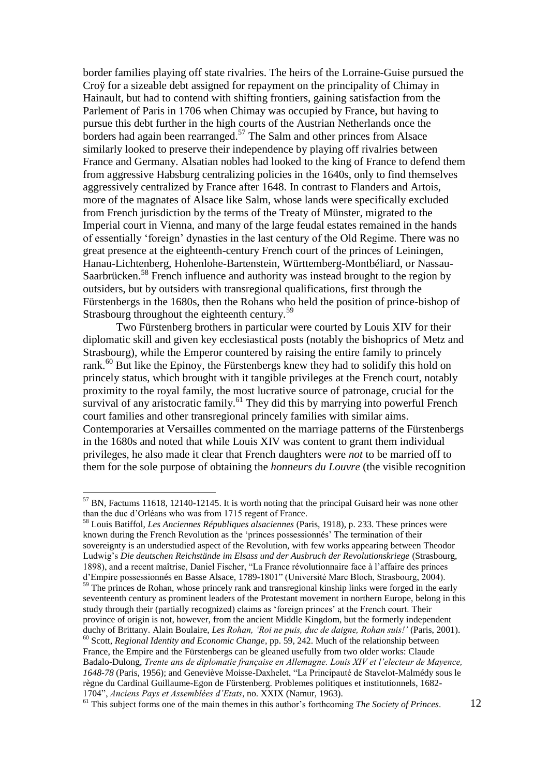border families playing off state rivalries. The heirs of the Lorraine-Guise pursued the Croÿ for a sizeable debt assigned for repayment on the principality of Chimay in Hainault, but had to contend with shifting frontiers, gaining satisfaction from the Parlement of Paris in 1706 when Chimay was occupied by France, but having to pursue this debt further in the high courts of the Austrian Netherlands once the borders had again been rearranged.<sup>57</sup> The Salm and other princes from Alsace similarly looked to preserve their independence by playing off rivalries between France and Germany. Alsatian nobles had looked to the king of France to defend them from aggressive Habsburg centralizing policies in the 1640s, only to find themselves aggressively centralized by France after 1648. In contrast to Flanders and Artois, more of the magnates of Alsace like Salm, whose lands were specifically excluded from French jurisdiction by the terms of the Treaty of Münster, migrated to the Imperial court in Vienna, and many of the large feudal estates remained in the hands of essentially 'foreign' dynasties in the last century of the Old Regime. There was no great presence at the eighteenth-century French court of the princes of Leiningen, Hanau-Lichtenberg, Hohenlohe-Bartenstein, Württemberg-Montbéliard, or Nassau-Saarbrücken.<sup>58</sup> French influence and authority was instead brought to the region by outsiders, but by outsiders with transregional qualifications, first through the Fürstenbergs in the 1680s, then the Rohans who held the position of prince-bishop of Strasbourg throughout the eighteenth century.<sup>59</sup>

Two Fürstenberg brothers in particular were courted by Louis XIV for their diplomatic skill and given key ecclesiastical posts (notably the bishoprics of Metz and Strasbourg), while the Emperor countered by raising the entire family to princely rank.<sup>60</sup> But like the Epinoy, the Fürstenbergs knew they had to solidify this hold on princely status, which brought with it tangible privileges at the French court, notably proximity to the royal family, the most lucrative source of patronage, crucial for the survival of any aristocratic family.<sup>61</sup> They did this by marrying into powerful French court families and other transregional princely families with similar aims. Contemporaries at Versailles commented on the marriage patterns of the Fürstenbergs in the 1680s and noted that while Louis XIV was content to grant them individual privileges, he also made it clear that French daughters were *not* to be married off to them for the sole purpose of obtaining the *honneurs du Louvre* (the visible recognition

 $<sup>57</sup>$  BN, Factums 11618, 12140-12145. It is worth noting that the principal Guisard heir was none other</sup> than the duc d'Orléans who was from 1715 regent of France.

<sup>58</sup> Louis Batiffol, *Les Anciennes Républiques alsaciennes* (Paris, 1918), p. 233. These princes were known during the French Revolution as the 'princes possessionnés' The termination of their sovereignty is an understudied aspect of the Revolution, with few works appearing between Theodor Ludwig's *Die deutschen Reichstände im Elsass und der Ausbruch der Revolutionskriege* (Strasbourg, 1898), and a recent maîtrise, Daniel Fischer, "La France révolutionnaire face à l'affaire des princes d'Empire possessionnés en Basse Alsace, 1789-1801" (Université Marc Bloch, Strasbourg, 2004).

 $59$  The princes de Rohan, whose princely rank and transregional kinship links were forged in the early seventeenth century as prominent leaders of the Protestant movement in northern Europe, belong in this study through their (partially recognized) claims as 'foreign princes' at the French court. Their province of origin is not, however, from the ancient Middle Kingdom, but the formerly independent duchy of Brittany. Alain Boulaire, *Les Rohan, 'Roi ne puis, duc de daigne, Rohan suis!'* (Paris, 2001). <sup>60</sup> Scott, *Regional Identity and Economic Change*, pp. 59, 242. Much of the relationship between France, the Empire and the Fürstenbergs can be gleaned usefully from two older works: Claude Badalo-Dulong, *Trente ans de diplomatie française en Allemagne. Louis XIV et l'electeur de Mayence, 1648-78* (Paris, 1956); and Geneviève Moisse-Daxhelet, "La Principauté de Stavelot-Malmédy sous le règne du Cardinal Guillaume-Egon de Fürstenberg. Problemes politiques et institutionnels, 1682-

<sup>1704&</sup>quot;, *Anciens Pays et Assemblées d'Etats*, no. XXIX (Namur, 1963).

<sup>61</sup> This subject forms one of the main themes in this author's forthcoming *The Society of Princes*.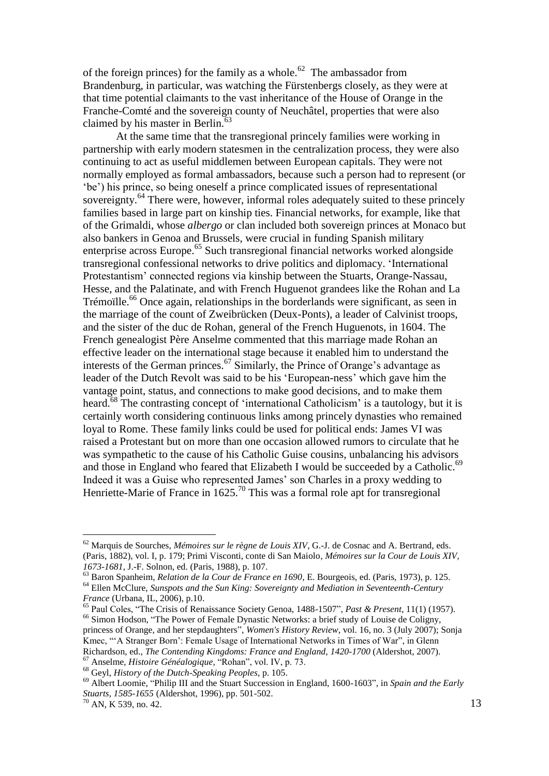of the foreign princes) for the family as a whole.<sup>62</sup> The ambassador from Brandenburg, in particular, was watching the Fürstenbergs closely, as they were at that time potential claimants to the vast inheritance of the House of Orange in the Franche-Comté and the sovereign county of Neuchâtel, properties that were also claimed by his master in Berlin.<sup>63</sup>

At the same time that the transregional princely families were working in partnership with early modern statesmen in the centralization process, they were also continuing to act as useful middlemen between European capitals. They were not normally employed as formal ambassadors, because such a person had to represent (or 'be') his prince, so being oneself a prince complicated issues of representational sovereignty.<sup>64</sup> There were, however, informal roles adequately suited to these princely families based in large part on kinship ties. Financial networks, for example, like that of the Grimaldi, whose *albergo* or clan included both sovereign princes at Monaco but also bankers in Genoa and Brussels, were crucial in funding Spanish military enterprise across Europe. <sup>65</sup> Such transregional financial networks worked alongside transregional confessional networks to drive politics and diplomacy. 'International Protestantism' connected regions via kinship between the Stuarts, Orange-Nassau, Hesse, and the Palatinate, and with French Huguenot grandees like the Rohan and La Trémoïlle.<sup>66</sup> Once again, relationships in the borderlands were significant, as seen in the marriage of the count of Zweibrücken (Deux-Ponts), a leader of Calvinist troops, and the sister of the duc de Rohan, general of the French Huguenots, in 1604. The French genealogist Père Anselme commented that this marriage made Rohan an effective leader on the international stage because it enabled him to understand the interests of the German princes.<sup>67</sup> Similarly, the Prince of Orange's advantage as leader of the Dutch Revolt was said to be his 'European-ness' which gave him the vantage point, status, and connections to make good decisions, and to make them heard.<sup>68</sup> The contrasting concept of 'international Catholicism' is a tautology, but it is certainly worth considering continuous links among princely dynasties who remained loyal to Rome. These family links could be used for political ends: James VI was raised a Protestant but on more than one occasion allowed rumors to circulate that he was sympathetic to the cause of his Catholic Guise cousins, unbalancing his advisors and those in England who feared that Elizabeth I would be succeeded by a Catholic.<sup>69</sup> Indeed it was a Guise who represented James' son Charles in a proxy wedding to Henriette-Marie of France in  $1625<sup>70</sup>$  This was a formal role apt for transregional

<sup>62</sup> Marquis de Sourches, *Mémoires sur le règne de Louis XIV*, G.-J. de Cosnac and A. Bertrand, eds. (Paris, 1882), vol. I, p. 179; Primi Visconti, conte di San Maiolo, *Mémoires sur la Cour de Louis XIV, 1673-1681*, J.-F. Solnon, ed. (Paris, 1988), p. 107.

<sup>63</sup> Baron Spanheim, *Relation de la Cour de France en 1690*, E. Bourgeois, ed. (Paris, 1973), p. 125. <sup>64</sup> Ellen McClure, *Sunspots and the Sun King: Sovereignty and Mediation in Seventeenth-Century France* (Urbana, IL, 2006), p.10.

<sup>65</sup> Paul Coles, "The Crisis of Renaissance Society Genoa, 1488-1507", *Past & Present*, 11(1) (1957). <sup>66</sup> Simon Hodson, "The Power of Female Dynastic Networks: a brief study of Louise de Coligny, princess of Orange, and her stepdaughters", *Women's History Review*, vol. 16, no. 3 (July 2007); Sonja Kmec, "'A Stranger Born': Female Usage of International Networks in Times of War", in Glenn Richardson, ed., *The Contending Kingdoms: France and England, 1420-1700* (Aldershot, 2007).

<sup>67</sup> Anselme, *Histoire Généalogique,* "Rohan", vol. IV, p. 73.

<sup>68</sup> Geyl, *History of the Dutch-Speaking Peoples*, p. 105.

<sup>69</sup> Albert Loomie, "Philip III and the Stuart Succession in England, 1600-1603", in *Spain and the Early Stuarts, 1585-1655* (Aldershot, 1996), pp. 501-502.

 $70$  AN, K 539, no. 42.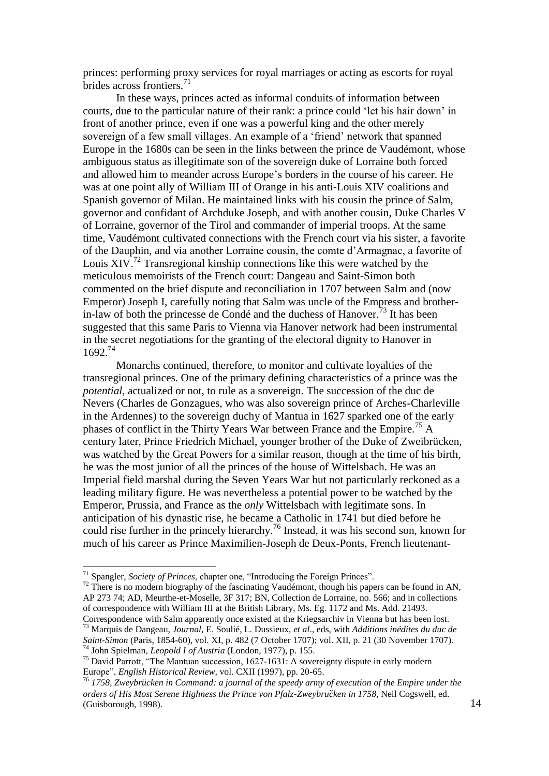princes: performing proxy services for royal marriages or acting as escorts for royal brides across frontiers. $^{71}$ 

In these ways, princes acted as informal conduits of information between courts, due to the particular nature of their rank: a prince could 'let his hair down' in front of another prince, even if one was a powerful king and the other merely sovereign of a few small villages. An example of a 'friend' network that spanned Europe in the 1680s can be seen in the links between the prince de Vaudémont, whose ambiguous status as illegitimate son of the sovereign duke of Lorraine both forced and allowed him to meander across Europe's borders in the course of his career. He was at one point ally of William III of Orange in his anti-Louis XIV coalitions and Spanish governor of Milan. He maintained links with his cousin the prince of Salm, governor and confidant of Archduke Joseph, and with another cousin, Duke Charles V of Lorraine, governor of the Tirol and commander of imperial troops. At the same time, Vaudémont cultivated connections with the French court via his sister, a favorite of the Dauphin, and via another Lorraine cousin, the comte d'Armagnac, a favorite of Louis  $XIV$ <sup>72</sup> Transregional kinship connections like this were watched by the meticulous memoirists of the French court: Dangeau and Saint-Simon both commented on the brief dispute and reconciliation in 1707 between Salm and (now Emperor) Joseph I, carefully noting that Salm was uncle of the Empress and brotherin-law of both the princesse de Condé and the duchess of Hanover.<sup>73</sup> It has been suggested that this same Paris to Vienna via Hanover network had been instrumental in the secret negotiations for the granting of the electoral dignity to Hanover in 1692.<sup>74</sup>

Monarchs continued, therefore, to monitor and cultivate loyalties of the transregional princes. One of the primary defining characteristics of a prince was the *potential*, actualized or not, to rule as a sovereign. The succession of the duc de Nevers (Charles de Gonzagues, who was also sovereign prince of Arches-Charleville in the Ardennes) to the sovereign duchy of Mantua in 1627 sparked one of the early phases of conflict in the Thirty Years War between France and the Empire.<sup>75</sup> A century later, Prince Friedrich Michael, younger brother of the Duke of Zweibrücken, was watched by the Great Powers for a similar reason, though at the time of his birth, he was the most junior of all the princes of the house of Wittelsbach. He was an Imperial field marshal during the Seven Years War but not particularly reckoned as a leading military figure. He was nevertheless a potential power to be watched by the Emperor, Prussia, and France as the *only* Wittelsbach with legitimate sons. In anticipation of his dynastic rise, he became a Catholic in 1741 but died before he could rise further in the princely hierarchy.<sup>76</sup> Instead, it was his second son, known for much of his career as Prince Maximilien-Joseph de Deux-Ponts, French lieutenant-

<sup>71</sup> Spangler, *Society of Princes*, chapter one, "Introducing the Foreign Princes".

 $72$  There is no modern biography of the fascinating Vaudémont, though his papers can be found in AN, AP 273 74; AD, Meurthe-et-Moselle, 3F 317; BN, Collection de Lorraine, no. 566; and in collections of correspondence with William III at the British Library, Ms. Eg. 1172 and Ms. Add. 21493. Correspondence with Salm apparently once existed at the Kriegsarchiv in Vienna but has been lost.

<sup>73</sup> Marquis de Dangeau, *Journal*, E. Soulié, L. Dussieux, *et al*., eds, with *Additions inédites du duc de Saint-Simon* (Paris, 1854-60), vol. XI, p. 482 (7 October 1707); vol. XII, p. 21 (30 November 1707). <sup>74</sup> John Spielman, *Leopold I of Austria* (London, 1977), p. 155.

<sup>&</sup>lt;sup>75</sup> David Parrott, "The Mantuan succession, 1627-1631: A sovereignty dispute in early modern Europe", *English Historical Review*, vol. CXII (1997), pp. 20-65.

<sup>76</sup> *1758, Zweybrücken in Command: a journal of the speedy army of execution of the Empire under the orders of His Most Serene Highness the Prince von Pfalz-Zweybru*̈*cken in 1758*, Neil Cogswell, ed. (Guisborough, 1998).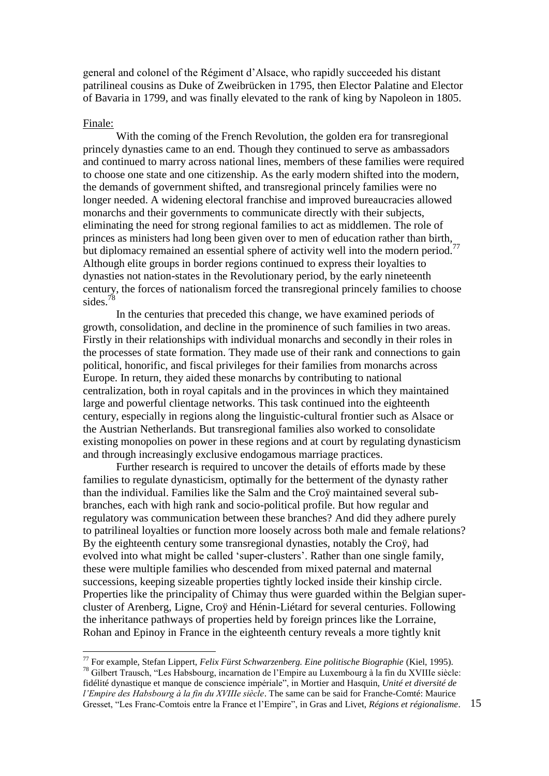general and colonel of the Régiment d'Alsace, who rapidly succeeded his distant patrilineal cousins as Duke of Zweibrücken in 1795, then Elector Palatine and Elector of Bavaria in 1799, and was finally elevated to the rank of king by Napoleon in 1805.

#### Finale:

<u>.</u>

With the coming of the French Revolution, the golden era for transregional princely dynasties came to an end. Though they continued to serve as ambassadors and continued to marry across national lines, members of these families were required to choose one state and one citizenship. As the early modern shifted into the modern, the demands of government shifted, and transregional princely families were no longer needed. A widening electoral franchise and improved bureaucracies allowed monarchs and their governments to communicate directly with their subjects, eliminating the need for strong regional families to act as middlemen. The role of princes as ministers had long been given over to men of education rather than birth, but diplomacy remained an essential sphere of activity well into the modern period.<sup>77</sup> Although elite groups in border regions continued to express their loyalties to dynasties not nation-states in the Revolutionary period, by the early nineteenth century, the forces of nationalism forced the transregional princely families to choose sides.<sup>78</sup>

In the centuries that preceded this change, we have examined periods of growth, consolidation, and decline in the prominence of such families in two areas. Firstly in their relationships with individual monarchs and secondly in their roles in the processes of state formation. They made use of their rank and connections to gain political, honorific, and fiscal privileges for their families from monarchs across Europe. In return, they aided these monarchs by contributing to national centralization, both in royal capitals and in the provinces in which they maintained large and powerful clientage networks. This task continued into the eighteenth century, especially in regions along the linguistic-cultural frontier such as Alsace or the Austrian Netherlands. But transregional families also worked to consolidate existing monopolies on power in these regions and at court by regulating dynasticism and through increasingly exclusive endogamous marriage practices.

Further research is required to uncover the details of efforts made by these families to regulate dynasticism, optimally for the betterment of the dynasty rather than the individual. Families like the Salm and the Croÿ maintained several subbranches, each with high rank and socio-political profile. But how regular and regulatory was communication between these branches? And did they adhere purely to patrilineal loyalties or function more loosely across both male and female relations? By the eighteenth century some transregional dynasties, notably the Croÿ, had evolved into what might be called 'super-clusters'. Rather than one single family, these were multiple families who descended from mixed paternal and maternal successions, keeping sizeable properties tightly locked inside their kinship circle. Properties like the principality of Chimay thus were guarded within the Belgian supercluster of Arenberg, Ligne, Croÿ and Hénin-Liétard for several centuries. Following the inheritance pathways of properties held by foreign princes like the Lorraine, Rohan and Epinoy in France in the eighteenth century reveals a more tightly knit

<sup>77</sup> For example, Stefan Lippert, *Felix Fürst Schwarzenberg. Eine politische Biographie* (Kiel, 1995). <sup>78</sup> Gilbert Trausch, "Les Habsbourg, incarnation de l'Empire au Luxembourg à la fin du XVIIIe siècle: fidélité dynastique et manque de conscience impériale", in Mortier and Hasquin, *Unité et diversité de l'Empire des Habsbourg à la fin du XVIIIe siècle*. The same can be said for Franche-Comté: Maurice Gresset, "Les Franc-Comtois entre la France et l'Empire", in Gras and Livet, *Régions et régionalisme*.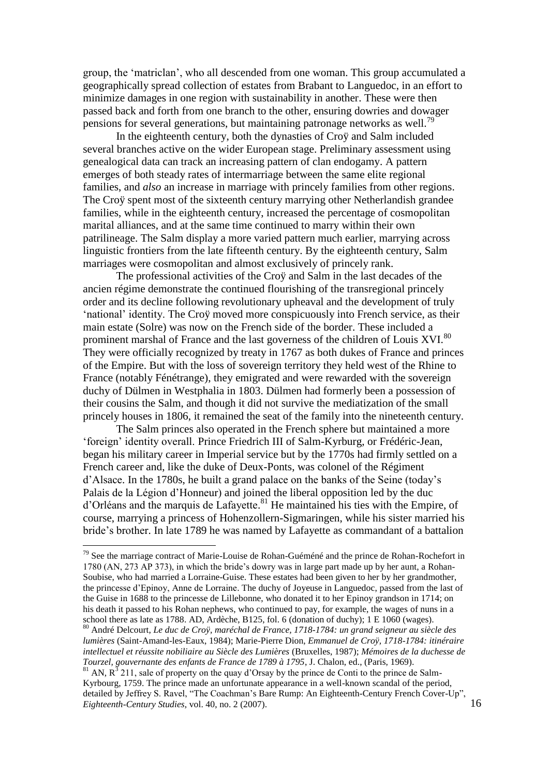group, the 'matriclan', who all descended from one woman. This group accumulated a geographically spread collection of estates from Brabant to Languedoc, in an effort to minimize damages in one region with sustainability in another. These were then passed back and forth from one branch to the other, ensuring dowries and dowager pensions for several generations, but maintaining patronage networks as well.<sup>19</sup>

In the eighteenth century, both the dynasties of Croÿ and Salm included several branches active on the wider European stage. Preliminary assessment using genealogical data can track an increasing pattern of clan endogamy. A pattern emerges of both steady rates of intermarriage between the same elite regional families, and *also* an increase in marriage with princely families from other regions. The Croÿ spent most of the sixteenth century marrying other Netherlandish grandee families, while in the eighteenth century, increased the percentage of cosmopolitan marital alliances, and at the same time continued to marry within their own patrilineage. The Salm display a more varied pattern much earlier, marrying across linguistic frontiers from the late fifteenth century. By the eighteenth century, Salm marriages were cosmopolitan and almost exclusively of princely rank.

The professional activities of the Croÿ and Salm in the last decades of the ancien régime demonstrate the continued flourishing of the transregional princely order and its decline following revolutionary upheaval and the development of truly 'national' identity. The Croÿ moved more conspicuously into French service, as their main estate (Solre) was now on the French side of the border. These included a prominent marshal of France and the last governess of the children of Louis XVI.<sup>80</sup> They were officially recognized by treaty in 1767 as both dukes of France and princes of the Empire. But with the loss of sovereign territory they held west of the Rhine to France (notably Fénétrange), they emigrated and were rewarded with the sovereign duchy of Dülmen in Westphalia in 1803. Dülmen had formerly been a possession of their cousins the Salm, and though it did not survive the mediatization of the small princely houses in 1806, it remained the seat of the family into the nineteenth century.

The Salm princes also operated in the French sphere but maintained a more 'foreign' identity overall. Prince Friedrich III of Salm-Kyrburg, or Frédéric-Jean, began his military career in Imperial service but by the 1770s had firmly settled on a French career and, like the duke of Deux-Ponts, was colonel of the Régiment d'Alsace. In the 1780s, he built a grand palace on the banks of the Seine (today's Palais de la Légion d'Honneur) and joined the liberal opposition led by the duc d'Orléans and the marquis de Lafayette. <sup>81</sup> He maintained his ties with the Empire, of course, marrying a princess of Hohenzollern-Sigmaringen, while his sister married his bride's brother. In late 1789 he was named by Lafayette as commandant of a battalion

 $79$  See the marriage contract of Marie-Louise de Rohan-Guéméné and the prince de Rohan-Rochefort in 1780 (AN, 273 AP 373), in which the bride's dowry was in large part made up by her aunt, a Rohan-Soubise, who had married a Lorraine-Guise. These estates had been given to her by her grandmother, the princesse d'Epinoy, Anne de Lorraine. The duchy of Joyeuse in Languedoc, passed from the last of the Guise in 1688 to the princesse de Lillebonne, who donated it to her Epinoy grandson in 1714; on his death it passed to his Rohan nephews, who continued to pay, for example, the wages of nuns in a school there as late as 1788. AD, Ardèche, B125, fol. 6 (donation of duchy); 1 E 1060 (wages).

<sup>80</sup> André Delcourt, *Le duc de Croÿ, maréchal de France, 1718-1784: un grand seigneur au siècle des lumières* (Saint-Amand-les-Eaux, 1984); Marie-Pierre Dion, *Emmanuel de Croÿ, 1718-1784: itinéraire intellectuel et réussite nobiliaire au Siècle des Lumières* (Bruxelles, 1987); *Mémoires de la duchesse de Tourzel, gouvernante des enfants de France de 1789 à 1795*, J. Chalon, ed., (Paris, 1969).

 $81$  AN,  $R^3$  211, sale of property on the quay d'Orsay by the prince de Conti to the prince de Salm-Kyrbourg, 1759. The prince made an unfortunate appearance in a well-known scandal of the period, detailed by Jeffrey S. Ravel, "The Coachman's Bare Rump: An Eighteenth-Century French Cover-Up", *Eighteenth-Century Studies*, vol. 40, no. 2 (2007).